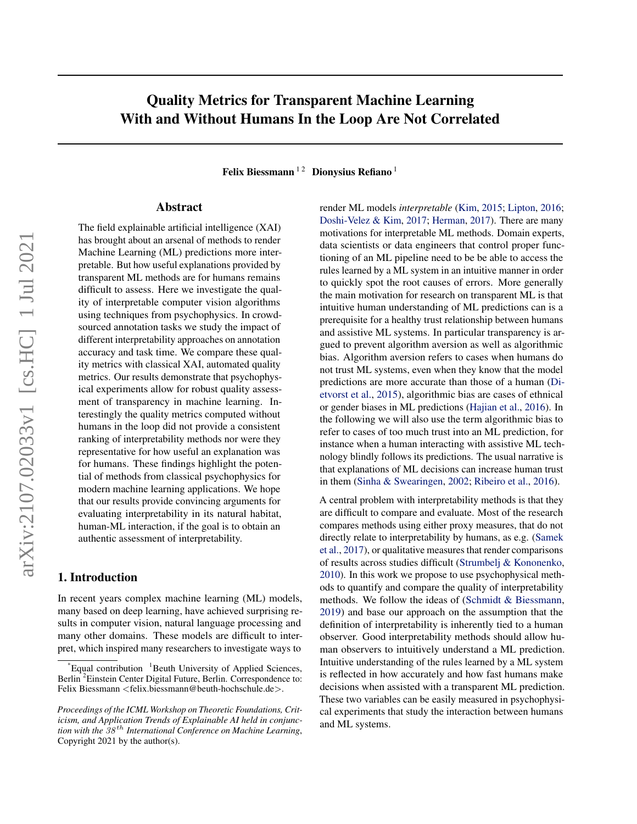# Quality Metrics for Transparent Machine Learning With and Without Humans In the Loop Are Not Correlated

Felix Biessmann<sup>12</sup> Dionysius Refiano<sup>1</sup>

#### Abstract

The field explainable artificial intelligence (XAI) has brought about an arsenal of methods to render Machine Learning (ML) predictions more interpretable. But how useful explanations provided by transparent ML methods are for humans remains difficult to assess. Here we investigate the quality of interpretable computer vision algorithms using techniques from psychophysics. In crowdsourced annotation tasks we study the impact of different interpretability approaches on annotation accuracy and task time. We compare these quality metrics with classical XAI, automated quality metrics. Our results demonstrate that psychophysical experiments allow for robust quality assessment of transparency in machine learning. Interestingly the quality metrics computed without humans in the loop did not provide a consistent ranking of interpretability methods nor were they representative for how useful an explanation was for humans. These findings highlight the potential of methods from classical psychophysics for modern machine learning applications. We hope that our results provide convincing arguments for evaluating interpretability in its natural habitat, human-ML interaction, if the goal is to obtain an authentic assessment of interpretability.

# 1. Introduction

In recent years complex machine learning (ML) models, many based on deep learning, have achieved surprising results in computer vision, natural language processing and many other domains. These models are difficult to interpret, which inspired many researchers to investigate ways to

render ML models *interpretable* [\(Kim,](#page-4-0) [2015;](#page-4-0) [Lipton,](#page-4-0) [2016;](#page-4-0) [Doshi-Velez & Kim,](#page-4-0) [2017;](#page-4-0) [Herman,](#page-4-0) [2017\)](#page-4-0). There are many motivations for interpretable ML methods. Domain experts, data scientists or data engineers that control proper functioning of an ML pipeline need to be be able to access the rules learned by a ML system in an intuitive manner in order to quickly spot the root causes of errors. More generally the main motivation for research on transparent ML is that intuitive human understanding of ML predictions can is a prerequisite for a healthy trust relationship between humans and assistive ML systems. In particular transparency is argued to prevent algorithm aversion as well as algorithmic bias. Algorithm aversion refers to cases when humans do not trust ML systems, even when they know that the model predictions are more accurate than those of a human [\(Di](#page-4-0)[etvorst et al.,](#page-4-0) [2015\)](#page-4-0), algorithmic bias are cases of ethnical or gender biases in ML predictions [\(Hajian et al.,](#page-4-0) [2016\)](#page-4-0). In the following we will also use the term algorithmic bias to refer to cases of too much trust into an ML prediction, for instance when a human interacting with assistive ML technology blindly follows its predictions. The usual narrative is that explanations of ML decisions can increase human trust in them [\(Sinha & Swearingen,](#page-4-0) [2002;](#page-4-0) [Ribeiro et al.,](#page-4-0) [2016\)](#page-4-0).

A central problem with interpretability methods is that they are difficult to compare and evaluate. Most of the research compares methods using either proxy measures, that do not directly relate to interpretability by humans, as e.g. [\(Samek](#page-4-0) [et al.,](#page-4-0) [2017\)](#page-4-0), or qualitative measures that render comparisons of results across studies difficult [\(Strumbelj & Kononenko,](#page-5-0) [2010\)](#page-5-0). In this work we propose to use psychophysical methods to quantify and compare the quality of interpretability methods. We follow the ideas of [\(Schmidt & Biessmann,](#page-4-0) [2019\)](#page-4-0) and base our approach on the assumption that the definition of interpretability is inherently tied to a human observer. Good interpretability methods should allow human observers to intuitively understand a ML prediction. Intuitive understanding of the rules learned by a ML system is reflected in how accurately and how fast humans make decisions when assisted with a transparent ML prediction. These two variables can be easily measured in psychophysical experiments that study the interaction between humans and ML systems.

 $^1$ Equal contribution  $^1$ Beuth University of Applied Sciences, Berlin <sup>2</sup>Einstein Center Digital Future, Berlin. Correspondence to: Felix Biessmann <felix.biessmann@beuth-hochschule.de>.

*Proceedings of the ICML Workshop on Theoretic Foundations, Criticism, and Application Trends of Explainable AI held in conjunction with the* 38 th *International Conference on Machine Learning*, Copyright 2021 by the author(s).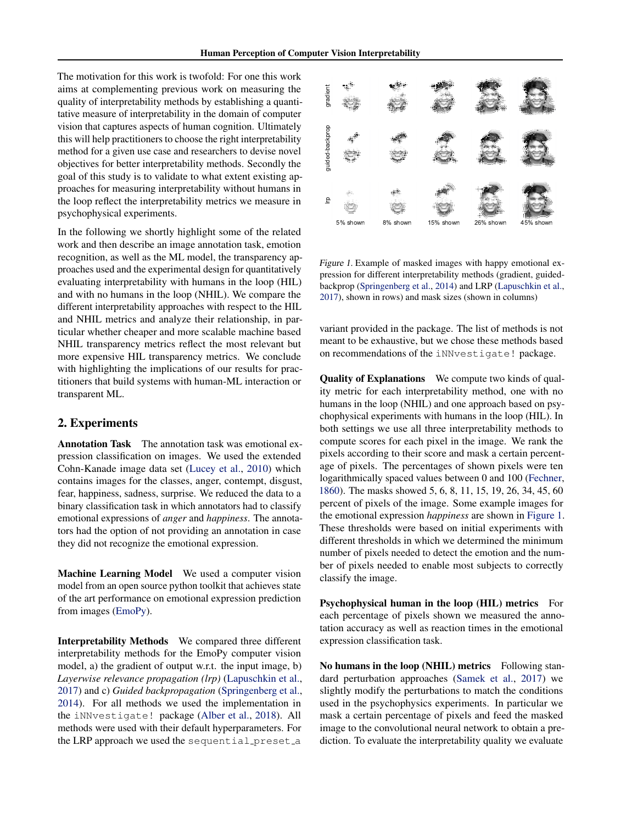<span id="page-1-0"></span>The motivation for this work is twofold: For one this work aims at complementing previous work on measuring the quality of interpretability methods by establishing a quantitative measure of interpretability in the domain of computer vision that captures aspects of human cognition. Ultimately this will help practitioners to choose the right interpretability method for a given use case and researchers to devise novel objectives for better interpretability methods. Secondly the goal of this study is to validate to what extent existing approaches for measuring interpretability without humans in the loop reflect the interpretability metrics we measure in psychophysical experiments.

In the following we shortly highlight some of the related work and then describe an image annotation task, emotion recognition, as well as the ML model, the transparency approaches used and the experimental design for quantitatively evaluating interpretability with humans in the loop (HIL) and with no humans in the loop (NHIL). We compare the different interpretability approaches with respect to the HIL and NHIL metrics and analyze their relationship, in particular whether cheaper and more scalable machine based NHIL transparency metrics reflect the most relevant but more expensive HIL transparency metrics. We conclude with highlighting the implications of our results for practitioners that build systems with human-ML interaction or transparent ML.

## 2. Experiments

Annotation Task The annotation task was emotional expression classification on images. We used the extended Cohn-Kanade image data set [\(Lucey et al.,](#page-4-0) [2010\)](#page-4-0) which contains images for the classes, anger, contempt, disgust, fear, happiness, sadness, surprise. We reduced the data to a binary classification task in which annotators had to classify emotional expressions of *anger* and *happiness*. The annotators had the option of not providing an annotation in case they did not recognize the emotional expression.

Machine Learning Model We used a computer vision model from an open source python toolkit that achieves state of the art performance on emotional expression prediction from images [\(EmoPy\)](#page-4-0).

Interpretability Methods We compared three different interpretability methods for the EmoPy computer vision model, a) the gradient of output w.r.t. the input image, b) *Layerwise relevance propagation (lrp)* [\(Lapuschkin et al.,](#page-4-0) [2017\)](#page-4-0) and c) *Guided backpropagation* [\(Springenberg et al.,](#page-5-0) [2014\)](#page-5-0). For all methods we used the implementation in the iNNvestigate! package [\(Alber et al.,](#page-4-0) [2018\)](#page-4-0). All methods were used with their default hyperparameters. For the LRP approach we used the sequential preset a



Figure 1. Example of masked images with happy emotional expression for different interpretability methods (gradient, guidedbackprop [\(Springenberg et al.,](#page-5-0) [2014\)](#page-5-0) and LRP [\(Lapuschkin et al.,](#page-4-0) [2017\)](#page-4-0), shown in rows) and mask sizes (shown in columns)

variant provided in the package. The list of methods is not meant to be exhaustive, but we chose these methods based on recommendations of the iNNvestigate! package.

Quality of Explanations We compute two kinds of quality metric for each interpretability method, one with no humans in the loop (NHIL) and one approach based on psychophysical experiments with humans in the loop (HIL). In both settings we use all three interpretability methods to compute scores for each pixel in the image. We rank the pixels according to their score and mask a certain percentage of pixels. The percentages of shown pixels were ten logarithmically spaced values between 0 and 100 [\(Fechner,](#page-4-0) [1860\)](#page-4-0). The masks showed 5, 6, 8, 11, 15, 19, 26, 34, 45, 60 percent of pixels of the image. Some example images for the emotional expression *happiness* are shown in Figure 1. These thresholds were based on initial experiments with different thresholds in which we determined the minimum number of pixels needed to detect the emotion and the number of pixels needed to enable most subjects to correctly classify the image.

Psychophysical human in the loop (HIL) metrics For each percentage of pixels shown we measured the annotation accuracy as well as reaction times in the emotional expression classification task.

No humans in the loop (NHIL) metrics Following standard perturbation approaches [\(Samek et al.,](#page-4-0) [2017\)](#page-4-0) we slightly modify the perturbations to match the conditions used in the psychophysics experiments. In particular we mask a certain percentage of pixels and feed the masked image to the convolutional neural network to obtain a prediction. To evaluate the interpretability quality we evaluate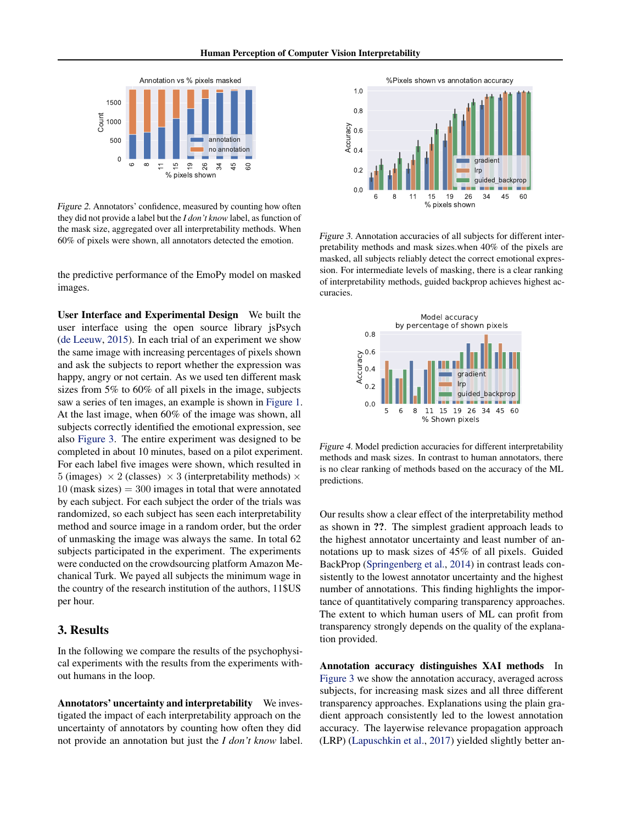<span id="page-2-0"></span>

Figure 2. Annotators' confidence, measured by counting how often they did not provide a label but the *I don't know* label, as function of the mask size, aggregated over all interpretability methods. When 60% of pixels were shown, all annotators detected the emotion.

the predictive performance of the EmoPy model on masked images.

User Interface and Experimental Design We built the user interface using the open source library jsPsych [\(de Leeuw,](#page-4-0) [2015\)](#page-4-0). In each trial of an experiment we show the same image with increasing percentages of pixels shown and ask the subjects to report whether the expression was happy, angry or not certain. As we used ten different mask sizes from 5% to 60% of all pixels in the image, subjects saw a series of ten images, an example is shown in [Figure 1.](#page-1-0) At the last image, when 60% of the image was shown, all subjects correctly identified the emotional expression, see also Figure 3. The entire experiment was designed to be completed in about 10 minutes, based on a pilot experiment. For each label five images were shown, which resulted in 5 (images)  $\times$  2 (classes)  $\times$  3 (interpretability methods)  $\times$  $10$  (mask sizes)  $= 300$  images in total that were annotated by each subject. For each subject the order of the trials was randomized, so each subject has seen each interpretability method and source image in a random order, but the order of unmasking the image was always the same. In total 62 subjects participated in the experiment. The experiments were conducted on the crowdsourcing platform Amazon Mechanical Turk. We payed all subjects the minimum wage in the country of the research institution of the authors, 11\$US per hour.

## 3. Results

In the following we compare the results of the psychophysical experiments with the results from the experiments without humans in the loop.

Annotators' uncertainty and interpretability We investigated the impact of each interpretability approach on the uncertainty of annotators by counting how often they did not provide an annotation but just the *I don't know* label.



Figure 3. Annotation accuracies of all subjects for different interpretability methods and mask sizes.when 40% of the pixels are masked, all subjects reliably detect the correct emotional expression. For intermediate levels of masking, there is a clear ranking of interpretability methods, guided backprop achieves highest accuracies.



Figure 4. Model prediction accuracies for different interpretability methods and mask sizes. In contrast to human annotators, there is no clear ranking of methods based on the accuracy of the ML predictions.

Our results show a clear effect of the interpretability method as shown in ??. The simplest gradient approach leads to the highest annotator uncertainty and least number of annotations up to mask sizes of 45% of all pixels. Guided BackProp [\(Springenberg et al.,](#page-5-0) [2014\)](#page-5-0) in contrast leads consistently to the lowest annotator uncertainty and the highest number of annotations. This finding highlights the importance of quantitatively comparing transparency approaches. The extent to which human users of ML can profit from transparency strongly depends on the quality of the explanation provided.

Annotation accuracy distinguishes XAI methods In Figure 3 we show the annotation accuracy, averaged across subjects, for increasing mask sizes and all three different transparency approaches. Explanations using the plain gradient approach consistently led to the lowest annotation accuracy. The layerwise relevance propagation approach (LRP) [\(Lapuschkin et al.,](#page-4-0) [2017\)](#page-4-0) yielded slightly better an-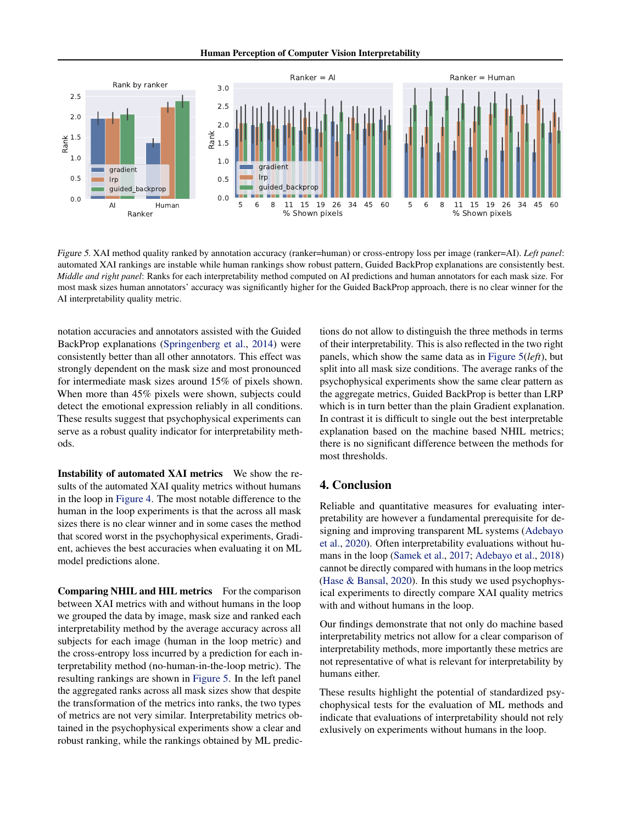Human Perception of Computer Vision Interpretability



Figure 5. XAI method quality ranked by annotation accuracy (ranker=human) or cross-entropy loss per image (ranker=AI). *Left panel*: automated XAI rankings are instable while human rankings show robust pattern, Guided BackProp explanations are consistently best. *Middle and right panel*: Ranks for each interpretability method computed on AI predictions and human annotators for each mask size. For most mask sizes human annotators' accuracy was significantly higher for the Guided BackProp approach, there is no clear winner for the AI interpretability quality metric.

notation accuracies and annotators assisted with the Guided BackProp explanations [\(Springenberg et al.,](#page-5-0) [2014\)](#page-5-0) were consistently better than all other annotators. This effect was strongly dependent on the mask size and most pronounced for intermediate mask sizes around 15% of pixels shown. When more than 45% pixels were shown, subjects could detect the emotional expression reliably in all conditions. These results suggest that psychophysical experiments can serve as a robust quality indicator for interpretability methods.

Instability of automated XAI metrics We show the results of the automated XAI quality metrics without humans in the loop in [Figure 4.](#page-2-0) The most notable difference to the human in the loop experiments is that the across all mask sizes there is no clear winner and in some cases the method that scored worst in the psychophysical experiments, Gradient, achieves the best accuracies when evaluating it on ML model predictions alone.

Comparing NHIL and HIL metrics For the comparison between XAI metrics with and without humans in the loop we grouped the data by image, mask size and ranked each interpretability method by the average accuracy across all subjects for each image (human in the loop metric) and the cross-entropy loss incurred by a prediction for each interpretability method (no-human-in-the-loop metric). The resulting rankings are shown in Figure 5. In the left panel the aggregated ranks across all mask sizes show that despite the transformation of the metrics into ranks, the two types of metrics are not very similar. Interpretability metrics obtained in the psychophysical experiments show a clear and robust ranking, while the rankings obtained by ML predictions do not allow to distinguish the three methods in terms of their interpretability. This is also reflected in the two right panels, which show the same data as in Figure 5(*left*), but split into all mask size conditions. The average ranks of the psychophysical experiments show the same clear pattern as the aggregate metrics, Guided BackProp is better than LRP which is in turn better than the plain Gradient explanation. In contrast it is difficult to single out the best interpretable explanation based on the machine based NHIL metrics; there is no significant difference between the methods for most thresholds.

#### 4. Conclusion

Reliable and quantitative measures for evaluating interpretability are however a fundamental prerequisite for designing and improving transparent ML systems [\(Adebayo](#page-4-0) [et al.,](#page-4-0) [2020\)](#page-4-0). Often interpretability evaluations without humans in the loop [\(Samek et al.,](#page-4-0) [2017;](#page-4-0) [Adebayo et al.,](#page-4-0) [2018\)](#page-4-0) cannot be directly compared with humans in the loop metrics [\(Hase & Bansal,](#page-4-0) [2020\)](#page-4-0). In this study we used psychophysical experiments to directly compare XAI quality metrics with and without humans in the loop.

Our findings demonstrate that not only do machine based interpretability metrics not allow for a clear comparison of interpretability methods, more importantly these metrics are not representative of what is relevant for interpretability by humans either.

These results highlight the potential of standardized psychophysical tests for the evaluation of ML methods and indicate that evaluations of interpretability should not rely exlusively on experiments without humans in the loop.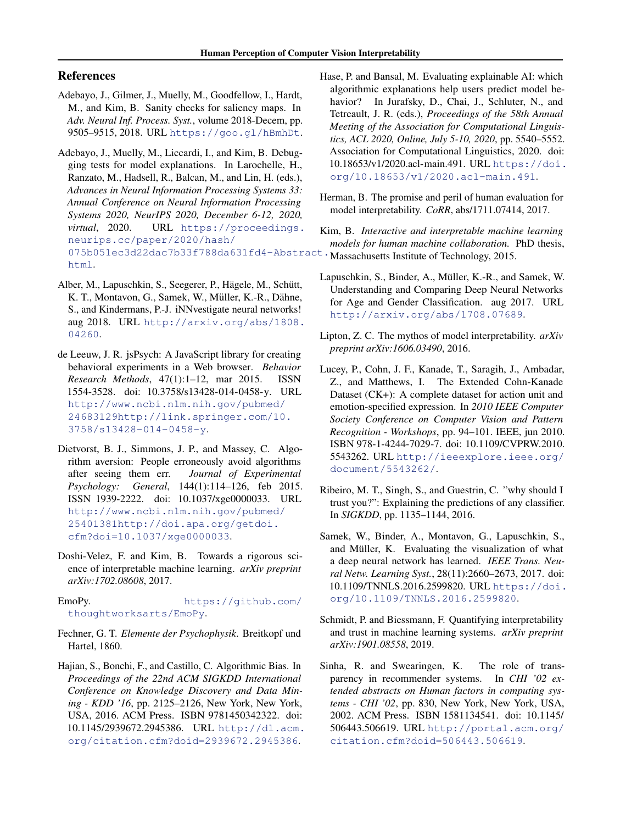## <span id="page-4-0"></span>References

- Adebayo, J., Gilmer, J., Muelly, M., Goodfellow, I., Hardt, M., and Kim, B. Sanity checks for saliency maps. In *Adv. Neural Inf. Process. Syst.*, volume 2018-Decem, pp. 9505–9515, 2018. URL <https://goo.gl/hBmhDt>.
- Adebayo, J., Muelly, M., Liccardi, I., and Kim, B. Debugging tests for model explanations. In Larochelle, H., Ranzato, M., Hadsell, R., Balcan, M., and Lin, H. (eds.), *Advances in Neural Information Processing Systems 33: Annual Conference on Neural Information Processing Systems 2020, NeurIPS 2020, December 6-12, 2020, virtual*, 2020. URL [https://proceedings.](https://proceedings.neurips.cc/paper/2020/hash/075b051ec3d22dac7b33f788da631fd4-Abstract.html) [neurips.cc/paper/2020/hash/](https://proceedings.neurips.cc/paper/2020/hash/075b051ec3d22dac7b33f788da631fd4-Abstract.html) [075b051ec3d22dac7b33f788da631fd4-Abstr](https://proceedings.neurips.cc/paper/2020/hash/075b051ec3d22dac7b33f788da631fd4-Abstract.html)act. [html](https://proceedings.neurips.cc/paper/2020/hash/075b051ec3d22dac7b33f788da631fd4-Abstract.html).
- Alber, M., Lapuschkin, S., Seegerer, P., Hägele, M., Schütt, K. T., Montavon, G., Samek, W., Müller, K.-R., Dähne, S., and Kindermans, P.-J. iNNvestigate neural networks! aug 2018. URL [http://arxiv.org/abs/1808.](http://arxiv.org/abs/1808.04260) [04260](http://arxiv.org/abs/1808.04260).
- de Leeuw, J. R. jsPsych: A JavaScript library for creating behavioral experiments in a Web browser. *Behavior Research Methods*, 47(1):1–12, mar 2015. ISSN 1554-3528. doi: 10.3758/s13428-014-0458-y. URL [http://www.ncbi.nlm.nih.gov/pubmed/](http://www.ncbi.nlm.nih.gov/pubmed/24683129 http://link.springer.com/10.3758/s13428-014-0458-y) [24683129http://link.springer.com/10.](http://www.ncbi.nlm.nih.gov/pubmed/24683129 http://link.springer.com/10.3758/s13428-014-0458-y) [3758/s13428-014-0458-y](http://www.ncbi.nlm.nih.gov/pubmed/24683129 http://link.springer.com/10.3758/s13428-014-0458-y).
- Dietvorst, B. J., Simmons, J. P., and Massey, C. Algorithm aversion: People erroneously avoid algorithms after seeing them err. *Journal of Experimental Psychology: General*, 144(1):114–126, feb 2015. ISSN 1939-2222. doi: 10.1037/xge0000033. URL [http://www.ncbi.nlm.nih.gov/pubmed/](http://www.ncbi.nlm.nih.gov/pubmed/25401381 http://doi.apa.org/getdoi.cfm?doi=10.1037/xge0000033) [25401381http://doi.apa.org/getdoi.](http://www.ncbi.nlm.nih.gov/pubmed/25401381 http://doi.apa.org/getdoi.cfm?doi=10.1037/xge0000033) [cfm?doi=10.1037/xge0000033](http://www.ncbi.nlm.nih.gov/pubmed/25401381 http://doi.apa.org/getdoi.cfm?doi=10.1037/xge0000033).
- Doshi-Velez, F. and Kim, B. Towards a rigorous science of interpretable machine learning. *arXiv preprint arXiv:1702.08608*, 2017.

EmoPy. [https://github.com/](https://github.com/thoughtworksarts/EmoPy) [thoughtworksarts/EmoPy](https://github.com/thoughtworksarts/EmoPy).

- Fechner, G. T. *Elemente der Psychophysik*. Breitkopf und Hartel, 1860.
- Hajian, S., Bonchi, F., and Castillo, C. Algorithmic Bias. In *Proceedings of the 22nd ACM SIGKDD International Conference on Knowledge Discovery and Data Mining - KDD '16*, pp. 2125–2126, New York, New York, USA, 2016. ACM Press. ISBN 9781450342322. doi: 10.1145/2939672.2945386. URL [http://dl.acm.](http://dl.acm.org/citation.cfm?doid=2939672.2945386) [org/citation.cfm?doid=2939672.2945386](http://dl.acm.org/citation.cfm?doid=2939672.2945386).
- Hase, P. and Bansal, M. Evaluating explainable AI: which algorithmic explanations help users predict model behavior? In Jurafsky, D., Chai, J., Schluter, N., and Tetreault, J. R. (eds.), *Proceedings of the 58th Annual Meeting of the Association for Computational Linguistics, ACL 2020, Online, July 5-10, 2020*, pp. 5540–5552. Association for Computational Linguistics, 2020. doi: 10.18653/v1/2020.acl-main.491. URL [https://doi.](https://doi.org/10.18653/v1/2020.acl-main.491) [org/10.18653/v1/2020.acl-main.491](https://doi.org/10.18653/v1/2020.acl-main.491).
- Herman, B. The promise and peril of human evaluation for model interpretability. *CoRR*, abs/1711.07414, 2017.

Kim, B. *Interactive and interpretable machine learning models for human machine collaboration.* PhD thesis, Massachusetts Institute of Technology, 2015.

- Lapuschkin, S., Binder, A., Müller, K.-R., and Samek, W. Understanding and Comparing Deep Neural Networks for Age and Gender Classification. aug 2017. URL <http://arxiv.org/abs/1708.07689>.
- Lipton, Z. C. The mythos of model interpretability. *arXiv preprint arXiv:1606.03490*, 2016.
- Lucey, P., Cohn, J. F., Kanade, T., Saragih, J., Ambadar, Z., and Matthews, I. The Extended Cohn-Kanade Dataset (CK+): A complete dataset for action unit and emotion-specified expression. In *2010 IEEE Computer Society Conference on Computer Vision and Pattern Recognition - Workshops*, pp. 94–101. IEEE, jun 2010. ISBN 978-1-4244-7029-7. doi: 10.1109/CVPRW.2010. 5543262. URL [http://ieeexplore.ieee.org/](http://ieeexplore.ieee.org/document/5543262/) [document/5543262/](http://ieeexplore.ieee.org/document/5543262/).
- Ribeiro, M. T., Singh, S., and Guestrin, C. "why should I trust you?": Explaining the predictions of any classifier. In *SIGKDD*, pp. 1135–1144, 2016.
- Samek, W., Binder, A., Montavon, G., Lapuschkin, S., and Müller, K. Evaluating the visualization of what a deep neural network has learned. *IEEE Trans. Neural Netw. Learning Syst.*, 28(11):2660–2673, 2017. doi: 10.1109/TNNLS.2016.2599820. URL [https://doi.](https://doi.org/10.1109/TNNLS.2016.2599820) [org/10.1109/TNNLS.2016.2599820](https://doi.org/10.1109/TNNLS.2016.2599820).
- Schmidt, P. and Biessmann, F. Quantifying interpretability and trust in machine learning systems. *arXiv preprint arXiv:1901.08558*, 2019.
- Sinha, R. and Swearingen, K. The role of transparency in recommender systems. In *CHI '02 extended abstracts on Human factors in computing systems - CHI '02*, pp. 830, New York, New York, USA, 2002. ACM Press. ISBN 1581134541. doi: 10.1145/ 506443.506619. URL [http://portal.acm.org/](http://portal.acm.org/citation.cfm?doid=506443.506619) [citation.cfm?doid=506443.506619](http://portal.acm.org/citation.cfm?doid=506443.506619).